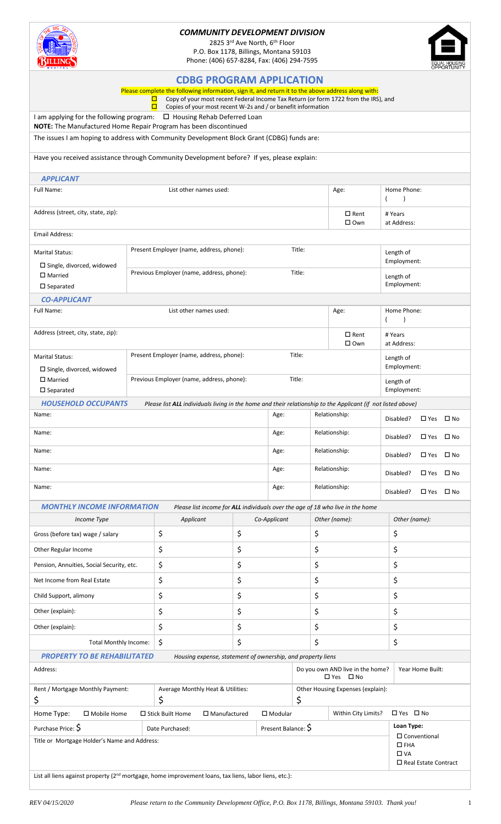

## *COMMUNITY DEVELOPMENT DIVISION*

2825 3rd Ave North, 6th Floor P.O. Box 1178, Billings, Montana 59103 Phone: (406) 657-8284, Fax: (406) 294-7595



|                                                                                                                                                                |                                           | <b>CDBG PROGRAM APPLICATION</b><br>Please complete the following information, sign it, and return it to the above address along with:<br>Copy of your most recent Federal Income Tax Return (or form 1722 from the IRS), and |              |                            |                                                                              |                                   |                                             |                                                  |              |  |  |  |
|----------------------------------------------------------------------------------------------------------------------------------------------------------------|-------------------------------------------|------------------------------------------------------------------------------------------------------------------------------------------------------------------------------------------------------------------------------|--------------|----------------------------|------------------------------------------------------------------------------|-----------------------------------|---------------------------------------------|--------------------------------------------------|--------------|--|--|--|
| о<br>Copies of your most recent W-2s and / or benefit information<br>I am applying for the following program:<br>$\Box$ Housing Rehab Deferred Loan            |                                           |                                                                                                                                                                                                                              |              |                            |                                                                              |                                   |                                             |                                                  |              |  |  |  |
| NOTE: The Manufactured Home Repair Program has been discontinued<br>The issues I am hoping to address with Community Development Block Grant (CDBG) funds are: |                                           |                                                                                                                                                                                                                              |              |                            |                                                                              |                                   |                                             |                                                  |              |  |  |  |
| Have you received assistance through Community Development before? If yes, please explain:                                                                     |                                           |                                                                                                                                                                                                                              |              |                            |                                                                              |                                   |                                             |                                                  |              |  |  |  |
| <b>APPLICANT</b>                                                                                                                                               |                                           |                                                                                                                                                                                                                              |              |                            |                                                                              |                                   |                                             |                                                  |              |  |  |  |
| List other names used:<br>Full Name:                                                                                                                           |                                           |                                                                                                                                                                                                                              |              |                            |                                                                              | Age:                              | Home Phone:<br>$\lambda$                    |                                                  |              |  |  |  |
| Address (street, city, state, zip):                                                                                                                            |                                           |                                                                                                                                                                                                                              |              |                            |                                                                              | $\square$ Rent<br>$\square$ Own   | # Years<br>at Address:                      |                                                  |              |  |  |  |
| Email Address:                                                                                                                                                 |                                           |                                                                                                                                                                                                                              |              |                            |                                                                              |                                   |                                             |                                                  |              |  |  |  |
| <b>Marital Status:</b>                                                                                                                                         |                                           | Present Employer (name, address, phone):<br>Title:                                                                                                                                                                           |              |                            |                                                                              |                                   | Length of                                   | Employment:                                      |              |  |  |  |
| $\square$ Single, divorced, widowed<br>$\square$ Married<br>$\square$ Separated                                                                                |                                           | Title:<br>Previous Employer (name, address, phone):                                                                                                                                                                          |              |                            |                                                                              |                                   | Length of                                   | Employment:                                      |              |  |  |  |
| <b>CO-APPLICANT</b>                                                                                                                                            |                                           |                                                                                                                                                                                                                              |              |                            |                                                                              |                                   |                                             |                                                  |              |  |  |  |
| Full Name:<br>List other names used:                                                                                                                           |                                           |                                                                                                                                                                                                                              |              |                            |                                                                              | Age:                              | Home Phone:                                 |                                                  |              |  |  |  |
| Address (street, city, state, zip):                                                                                                                            |                                           |                                                                                                                                                                                                                              |              |                            |                                                                              | $\square$ Rent<br>$\square$ Own   | # Years<br>at Address:                      |                                                  |              |  |  |  |
| <b>Marital Status:</b><br>$\Box$ Single, divorced, widowed                                                                                                     |                                           | Present Employer (name, address, phone):                                                                                                                                                                                     |              |                            | Title:                                                                       |                                   |                                             | Length of<br>Employment:                         |              |  |  |  |
| $\square$ Married<br>$\square$ Separated                                                                                                                       | Previous Employer (name, address, phone): |                                                                                                                                                                                                                              |              |                            | Title:                                                                       |                                   | Length of                                   | Employment:                                      |              |  |  |  |
| <b>HOUSEHOLD OCCUPANTS</b>                                                                                                                                     |                                           | Please list ALL individuals living in the home and their relationship to the Applicant (if not listed above)                                                                                                                 |              |                            |                                                                              |                                   |                                             |                                                  |              |  |  |  |
| Name:                                                                                                                                                          |                                           | Age:                                                                                                                                                                                                                         |              | Relationship:<br>Disabled? |                                                                              | $\square$ Yes                     | $\square$ No                                |                                                  |              |  |  |  |
| Name:                                                                                                                                                          |                                           |                                                                                                                                                                                                                              |              |                            |                                                                              | Relationship:<br>Disabled?        |                                             | $\square$ Yes                                    | $\square$ No |  |  |  |
| Name:                                                                                                                                                          |                                           |                                                                                                                                                                                                                              |              |                            |                                                                              | Relationship:<br>Disabled?        |                                             | $\square$ Yes                                    | $\square$ No |  |  |  |
| Name:                                                                                                                                                          |                                           |                                                                                                                                                                                                                              |              |                            |                                                                              | Relationship:<br>Disabled?        |                                             | $\square$ Yes                                    | $\square$ No |  |  |  |
| Name:                                                                                                                                                          | Relationship:<br>Age:                     |                                                                                                                                                                                                                              |              |                            |                                                                              |                                   | Disabled?                                   | $\square$ Yes                                    | $\square$ No |  |  |  |
| <b>MONTHLY INCOME INFORMATION</b>                                                                                                                              |                                           | Please list income for ALL individuals over the age of 18 who live in the home                                                                                                                                               |              |                            |                                                                              |                                   |                                             |                                                  |              |  |  |  |
| Income Type                                                                                                                                                    |                                           | Applicant                                                                                                                                                                                                                    | Co-Applicant |                            |                                                                              | Other (name):                     |                                             | Other (name):                                    |              |  |  |  |
| Gross (before tax) wage / salary                                                                                                                               |                                           | \$                                                                                                                                                                                                                           | \$           |                            |                                                                              | \$                                |                                             | \$                                               |              |  |  |  |
| Other Regular Income                                                                                                                                           |                                           | \$                                                                                                                                                                                                                           | \$           |                            | \$                                                                           |                                   |                                             | \$                                               |              |  |  |  |
| Pension, Annuities, Social Security, etc.                                                                                                                      |                                           | \$                                                                                                                                                                                                                           | \$           |                            | \$                                                                           |                                   |                                             | \$                                               |              |  |  |  |
| Net Income from Real Estate                                                                                                                                    |                                           | \$                                                                                                                                                                                                                           | \$           |                            | \$                                                                           |                                   |                                             | \$                                               |              |  |  |  |
| Child Support, alimony                                                                                                                                         |                                           | \$                                                                                                                                                                                                                           | \$           |                            | \$                                                                           |                                   |                                             | \$                                               |              |  |  |  |
| Other (explain):                                                                                                                                               |                                           | \$<br>\$                                                                                                                                                                                                                     |              | \$                         |                                                                              | \$                                |                                             |                                                  |              |  |  |  |
| Other (explain):                                                                                                                                               | \$<br>\$                                  |                                                                                                                                                                                                                              |              | \$                         |                                                                              | \$                                |                                             |                                                  |              |  |  |  |
| <b>Total Monthly Income:</b>                                                                                                                                   | \$<br>\$                                  |                                                                                                                                                                                                                              |              | \$                         |                                                                              | \$                                |                                             |                                                  |              |  |  |  |
| <b>PROPERTY TO BE REHABILITATED</b>                                                                                                                            |                                           | Housing expense, statement of ownership, and property liens                                                                                                                                                                  |              |                            |                                                                              |                                   |                                             |                                                  |              |  |  |  |
| Address:                                                                                                                                                       |                                           |                                                                                                                                                                                                                              |              |                            | Do you own AND live in the home?<br>Year Home Built:<br>$\Box$ Yes $\Box$ No |                                   |                                             |                                                  |              |  |  |  |
| Rent / Mortgage Monthly Payment:<br>\$                                                                                                                         |                                           | Average Monthly Heat & Utilities:<br>\$                                                                                                                                                                                      |              |                            | Other Housing Expenses (explain):<br>\$                                      |                                   |                                             |                                                  |              |  |  |  |
| Home Type:<br>□ Mobile Home<br>□ Stick Built Home<br>$\square$ Manufactured                                                                                    |                                           |                                                                                                                                                                                                                              |              | $\square$ Modular          |                                                                              | Within City Limits?<br>□ Yes □ No |                                             |                                                  |              |  |  |  |
| Purchase Price: \$<br>Title or Mortgage Holder's Name and Address:                                                                                             |                                           | Date Purchased:                                                                                                                                                                                                              |              | Present Balance: S         |                                                                              |                                   | Loan Type:<br>$\square$ FHA<br>$\square$ VA | $\square$ Conventional<br>□ Real Estate Contract |              |  |  |  |

List all liens against property (2<sup>nd</sup> mortgage, home improvement loans, tax liens, labor liens, etc.):